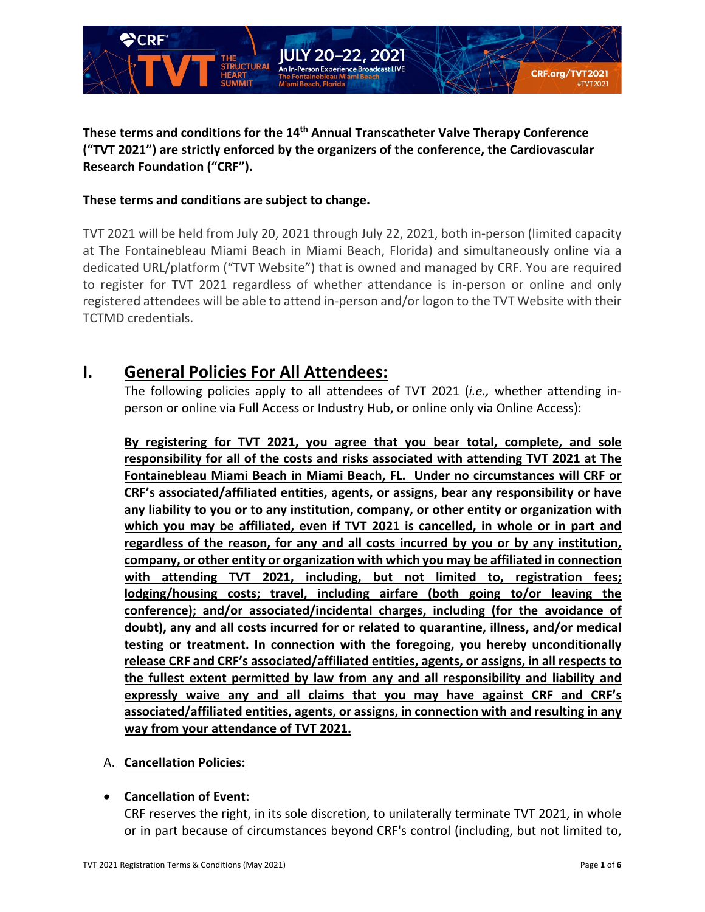

## **These terms and conditions for the 14th Annual Transcatheter Valve Therapy Conference ("TVT 2021") are strictly enforced by the organizers of the conference, the Cardiovascular Research Foundation ("CRF").**

## **These terms and conditions are subject to change.**

TVT 2021 will be held from July 20, 2021 through July 22, 2021, both in-person (limited capacity at The Fontainebleau Miami Beach in Miami Beach, Florida) and simultaneously online via a dedicated URL/platform ("TVT Website") that is owned and managed by CRF. You are required to register for TVT 2021 regardless of whether attendance is in-person or online and only registered attendees will be able to attend in-person and/or logon to the TVT Website with their TCTMD credentials.

# **I. General Policies For All Attendees:**

The following policies apply to all attendees of TVT 2021 (*i.e.,* whether attending inperson or online via Full Access or Industry Hub, or online only via Online Access):

**By registering for TVT 2021, you agree that you bear total, complete, and sole responsibility for all of the costs and risks associated with attending TVT 2021 at The Fontainebleau Miami Beach in Miami Beach, FL. Under no circumstances will CRF or CRF's associated/affiliated entities, agents, or assigns, bear any responsibility or have any liability to you or to any institution, company, or other entity or organization with which you may be affiliated, even if TVT 2021 is cancelled, in whole or in part and regardless of the reason, for any and all costs incurred by you or by any institution, company, or other entity or organization with which you may be affiliated in connection with attending TVT 2021, including, but not limited to, registration fees; lodging/housing costs; travel, including airfare (both going to/or leaving the conference); and/or associated/incidental charges, including (for the avoidance of doubt), any and all costs incurred for or related to quarantine, illness, and/or medical testing or treatment. In connection with the foregoing, you hereby unconditionally release CRF and CRF's associated/affiliated entities, agents, or assigns, in all respects to the fullest extent permitted by law from any and all responsibility and liability and expressly waive any and all claims that you may have against CRF and CRF's associated/affiliated entities, agents, or assigns, in connection with and resulting in any way from your attendance of TVT 2021.** 

#### A. **Cancellation Policies:**

## • **Cancellation of Event:**

CRF reserves the right, in its sole discretion, to unilaterally terminate TVT 2021, in whole or in part because of circumstances beyond CRF's control (including, but not limited to,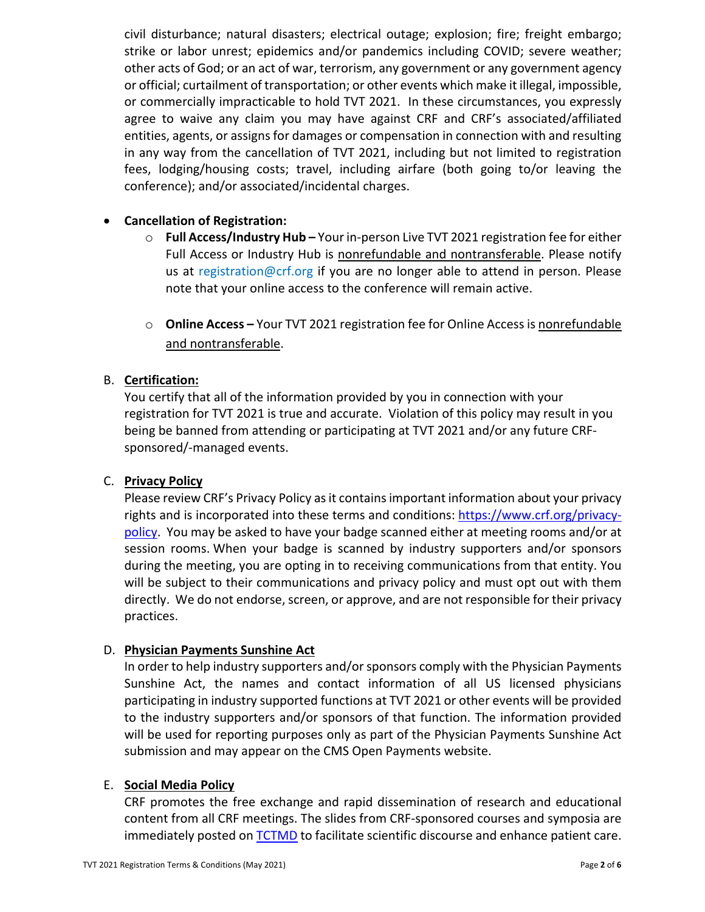civil disturbance; natural disasters; electrical outage; explosion; fire; freight embargo; strike or labor unrest; epidemics and/or pandemics including COVID; severe weather; other acts of God; or an act of war, terrorism, any government or any government agency or official; curtailment of transportation; or other events which make it illegal, impossible, or commercially impracticable to hold TVT 2021. In these circumstances, you expressly agree to waive any claim you may have against CRF and CRF's associated/affiliated entities, agents, or assigns for damages or compensation in connection with and resulting in any way from the cancellation of TVT 2021, including but not limited to registration fees, lodging/housing costs; travel, including airfare (both going to/or leaving the conference); and/or associated/incidental charges.

## • **Cancellation of Registration:**

- o **Full Access/Industry Hub –** Your in-person Live TVT 2021 registration fee for either Full Access or Industry Hub is nonrefundable and nontransferable. Please notify us at [registration@crf.org](mailto:registration@crf.org) if you are no longer able to attend in person. Please note that your online access to the conference will remain active.
- o **Online Access –** Your TVT 2021 registration fee for Online Access is nonrefundable and nontransferable.

## B. **Certification:**

You certify that all of the information provided by you in connection with your registration for TVT 2021 is true and accurate. Violation of this policy may result in you being be banned from attending or participating at TVT 2021 and/or any future CRFsponsored/-managed events.

#### C. **Privacy Policy**

Please review CRF's Privacy Policy as it contains important information about your privacy rights and is incorporated into these terms and conditions: [https://www.crf.org/privacy](https://www.crf.org/privacy-policy)[policy.](https://www.crf.org/privacy-policy) You may be asked to have your badge scanned either at meeting rooms and/or at session rooms. When your badge is scanned by industry supporters and/or sponsors during the meeting, you are opting in to receiving communications from that entity. You will be subject to their communications and privacy policy and must opt out with them directly. We do not endorse, screen, or approve, and are not responsible for their privacy practices.

#### D. **Physician Payments Sunshine Act**

In order to help industry supporters and/or sponsors comply with the Physician Payments Sunshine Act, the names and contact information of all US licensed physicians participating in industry supported functions at TVT 2021 or other events will be provided to the industry supporters and/or sponsors of that function. The information provided will be used for reporting purposes only as part of the Physician Payments Sunshine Act submission and may appear on the CMS Open Payments website.

#### E. **Social Media Policy**

CRF promotes the free exchange and rapid dissemination of research and educational content from all CRF meetings. The slides from CRF-sponsored courses and symposia are immediately posted on **TCTMD** to facilitate scientific discourse and enhance patient care.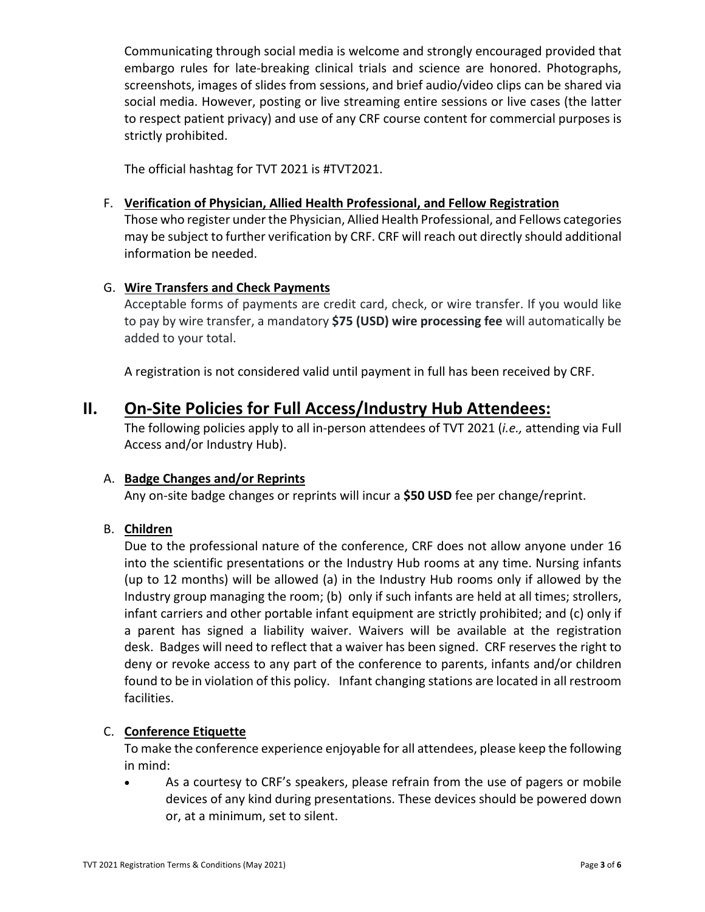Communicating through social media is welcome and strongly encouraged provided that embargo rules for late-breaking clinical trials and science are honored. Photographs, screenshots, images of slides from sessions, and brief audio/video clips can be shared via social media. However, posting or live streaming entire sessions or live cases (the latter to respect patient privacy) and use of any CRF course content for commercial purposes is strictly prohibited.

The official hashtag for TVT 2021 is #TVT2021.

#### F. **Verification of Physician, Allied Health Professional, and Fellow Registration**

Those who register under the Physician, Allied Health Professional, and Fellows categories may be subject to further verification by CRF. CRF will reach out directly should additional information be needed.

## G. **Wire Transfers and Check Payments**

Acceptable forms of payments are credit card, check, or wire transfer. If you would like to pay by wire transfer, a mandatory **\$75 (USD) wire processing fee** will automatically be added to your total.

A registration is not considered valid until payment in full has been received by CRF.

## **II. On-Site Policies for Full Access/Industry Hub Attendees:**

The following policies apply to all in-person attendees of TVT 2021 (*i.e.,* attending via Full Access and/or Industry Hub).

#### A. **Badge Changes and/or Reprints**

Any on-site badge changes or reprints will incur a **\$50 USD** fee per change/reprint.

#### B. **Children**

Due to the professional nature of the conference, CRF does not allow anyone under 16 into the scientific presentations or the Industry Hub rooms at any time. Nursing infants (up to 12 months) will be allowed (a) in the Industry Hub rooms only if allowed by the Industry group managing the room; (b) only if such infants are held at all times; strollers, infant carriers and other portable infant equipment are strictly prohibited; and (c) only if a parent has signed a liability waiver. Waivers will be available at the registration desk. Badges will need to reflect that a waiver has been signed. CRF reserves the right to deny or revoke access to any part of the conference to parents, infants and/or children found to be in violation of this policy. Infant changing stations are located in all restroom facilities.

#### C. **Conference Etiquette**

To make the conference experience enjoyable for all attendees, please keep the following in mind:

• As a courtesy to CRF's speakers, please refrain from the use of pagers or mobile devices of any kind during presentations. These devices should be powered down or, at a minimum, set to silent.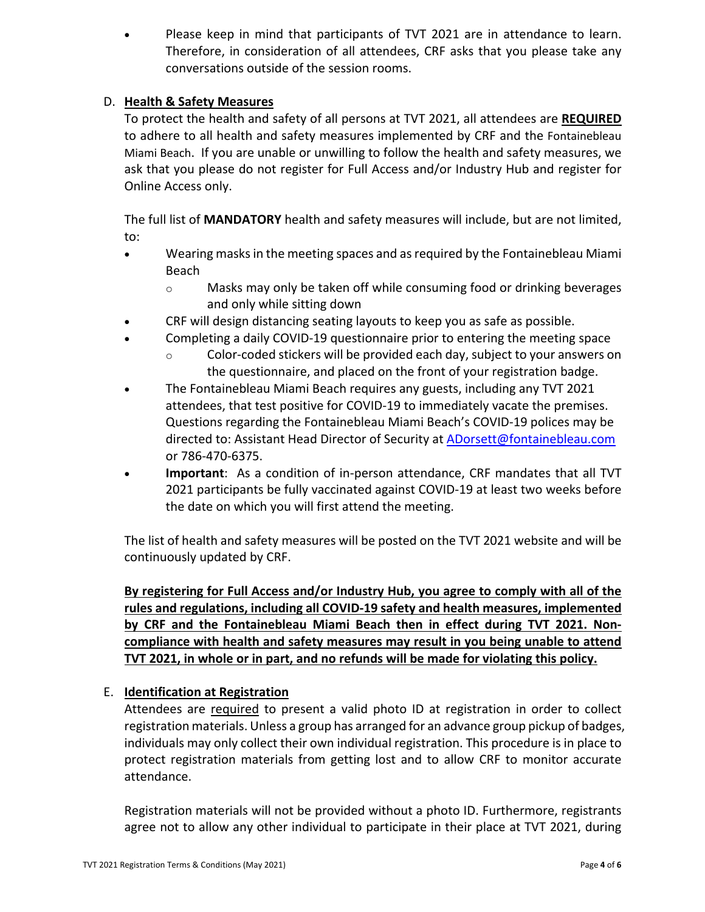• Please keep in mind that participants of TVT 2021 are in attendance to learn. Therefore, in consideration of all attendees, CRF asks that you please take any conversations outside of the session rooms.

## D. **Health & Safety Measures**

To protect the health and safety of all persons at TVT 2021, all attendees are **REQUIRED** to adhere to all health and safety measures implemented by CRF and the [Fontainebleau](https://www.fontainebleau.com/updates)  [Miami Beach.](https://www.fontainebleau.com/updates) If you are unable or unwilling to follow the health and safety measures, we ask that you please do not register for Full Access and/or Industry Hub and register for Online Access only.

The full list of **MANDATORY** health and safety measures will include, but are not limited, to:

- Wearing masks in the meeting spaces and as required by the Fontainebleau Miami Beach
	- o Masks may only be taken off while consuming food or drinking beverages and only while sitting down
- CRF will design distancing seating layouts to keep you as safe as possible.
- Completing a daily COVID-19 questionnaire prior to entering the meeting space
	- o Color-coded stickers will be provided each day, subject to your answers on the questionnaire, and placed on the front of your registration badge.
- The Fontainebleau Miami Beach requires any guests, including any TVT 2021 attendees, that test positive for COVID-19 to immediately vacate the premises. Questions regarding the Fontainebleau Miami Beach's COVID-19 polices may be directed to: Assistant Head Director of Security at [ADorsett@fontainebleau.com](mailto:ADorsett@fontainebleau.com) or 786-470-6375.
- **Important**: As a condition of in-person attendance, CRF mandates that all TVT 2021 participants be fully vaccinated against COVID-19 at least two weeks before the date on which you will first attend the meeting.

The list of health and safety measures will be posted on the TVT 2021 website and will be continuously updated by CRF.

**By registering for Full Access and/or Industry Hub, you agree to comply with all of the rules and regulations, including all COVID-19 safety and health measures, implemented by CRF and the Fontainebleau Miami Beach then in effect during TVT 2021. Noncompliance with health and safety measures may result in you being unable to attend TVT 2021, in whole or in part, and no refunds will be made for violating this policy.** 

## E. **Identification at Registration**

Attendees are required to present a valid photo ID at registration in order to collect registration materials. Unless a group has arranged for an advance group pickup of badges, individuals may only collect their own individual registration. This procedure is in place to protect registration materials from getting lost and to allow CRF to monitor accurate attendance.

Registration materials will not be provided without a photo ID. Furthermore, registrants agree not to allow any other individual to participate in their place at TVT 2021, during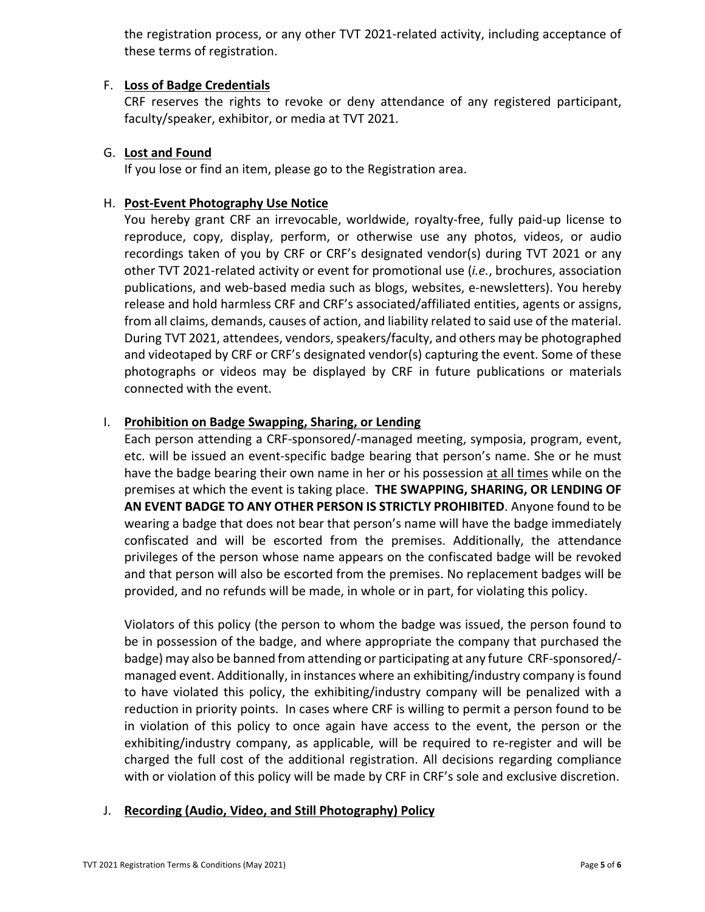the registration process, or any other TVT 2021-related activity, including acceptance of these terms of registration.

#### F. **Loss of Badge Credentials**

CRF reserves the rights to revoke or deny attendance of any registered participant, faculty/speaker, exhibitor, or media at TVT 2021.

## G. **Lost and Found**

If you lose or find an item, please go to the Registration area.

## H. **Post-Event Photography Use Notice**

You hereby grant CRF an irrevocable, worldwide, royalty-free, fully paid-up license to reproduce, copy, display, perform, or otherwise use any photos, videos, or audio recordings taken of you by CRF or CRF's designated vendor(s) during TVT 2021 or any other TVT 2021-related activity or event for promotional use (*i.e.*, brochures, association publications, and web-based media such as blogs, websites, e-newsletters). You hereby release and hold harmless CRF and CRF's associated/affiliated entities, agents or assigns, from all claims, demands, causes of action, and liability related to said use of the material. During TVT 2021, attendees, vendors, speakers/faculty, and others may be photographed and videotaped by CRF or CRF's designated vendor(s) capturing the event. Some of these photographs or videos may be displayed by CRF in future publications or materials connected with the event.

## I. **Prohibition on Badge Swapping, Sharing, or Lending**

Each person attending a CRF-sponsored/-managed meeting, symposia, program, event, etc. will be issued an event-specific badge bearing that person's name. She or he must have the badge bearing their own name in her or his possession at all times while on the premises at which the event is taking place. **THE SWAPPING, SHARING, OR LENDING OF AN EVENT BADGE TO ANY OTHER PERSON IS STRICTLY PROHIBITED**. Anyone found to be wearing a badge that does not bear that person's name will have the badge immediately confiscated and will be escorted from the premises. Additionally, the attendance privileges of the person whose name appears on the confiscated badge will be revoked and that person will also be escorted from the premises. No replacement badges will be provided, and no refunds will be made, in whole or in part, for violating this policy.

Violators of this policy (the person to whom the badge was issued, the person found to be in possession of the badge, and where appropriate the company that purchased the badge) may also be banned from attending or participating at any future CRF-sponsored/ managed event. Additionally, in instances where an exhibiting/industry company is found to have violated this policy, the exhibiting/industry company will be penalized with a reduction in priority points. In cases where CRF is willing to permit a person found to be in violation of this policy to once again have access to the event, the person or the exhibiting/industry company, as applicable, will be required to re-register and will be charged the full cost of the additional registration. All decisions regarding compliance with or violation of this policy will be made by CRF in CRF's sole and exclusive discretion.

#### J. **Recording (Audio, Video, and Still Photography) Policy**